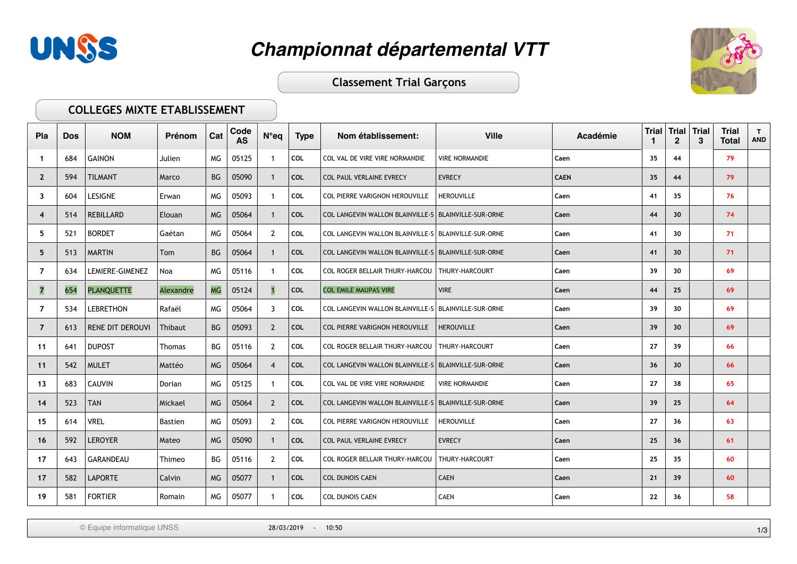



**Classement Trial Garçons** 

#### COLLEGES MIXTE ETABLISSEMENT

| Pla            | <b>Dos</b> | <b>NOM</b>              | Prénom         | Cat       | Code<br><b>AS</b> | $N^{\circ}$ eq | <b>Type</b> | Nom établissement:                                     | <b>Ville</b>          | Académie    | <b>Trial</b><br>1 | <b>Trial</b><br>$\mathbf{2}$ | <b>Trial</b><br>3 | <b>Trial</b><br><b>Total</b> | $\mathbf{T}$<br><b>AND</b> |
|----------------|------------|-------------------------|----------------|-----------|-------------------|----------------|-------------|--------------------------------------------------------|-----------------------|-------------|-------------------|------------------------------|-------------------|------------------------------|----------------------------|
| -1             | 684        | <b>GAINON</b>           | Julien         | MG        | 05125             |                | COL         | COL VAL DE VIRE VIRE NORMANDIE                         | <b>VIRE NORMANDIE</b> | Caen        | 35                | 44                           |                   | 79                           |                            |
| $\mathbf{2}$   | 594        | <b>TILMANT</b>          | Marco          | BG        | 05090             | $\overline{1}$ | <b>COL</b>  | COL PAUL VERLAINE EVRECY                               | <b>EVRECY</b>         | <b>CAEN</b> | 35                | 44                           |                   | 79                           |                            |
| 3              | 604        | <b>LESIGNE</b>          | Erwan          | MG        | 05093             |                | <b>COL</b>  | COL PIERRE VARIGNON HEROUVILLE                         | <b>HEROUVILLE</b>     | Caen        | 41                | 35                           |                   | 76                           |                            |
| 4              | 514        | <b>REBILLARD</b>        | Elouan         | <b>MG</b> | 05064             |                | <b>COL</b>  | COL LANGEVIN WALLON BLAINVILLE-S   BLAINVILLE-SUR-ORNE |                       | Caen        | 44                | 30 <sup>°</sup>              |                   | 74                           |                            |
| 5              | 521        | <b>BORDET</b>           | Gaétan         | MG        | 05064             | 2              | COL         | COL LANGEVIN WALLON BLAINVILLE-S BLAINVILLE-SUR-ORNE   |                       | Caen        | 41                | 30                           |                   | 71                           |                            |
| 5              | 513        | <b>MARTIN</b>           | Tom            | BG        | 05064             |                | <b>COL</b>  | COL LANGEVIN WALLON BLAINVILLE-S   BLAINVILLE-SUR-ORNE |                       | Caen        | 41                | 30 <sup>°</sup>              |                   | 71                           |                            |
| $\overline{7}$ | 634        | <b>LEMIERE-GIMENEZ</b>  | Noa            | MG        | 05116             | $\mathbf{1}$   | COL         | COL ROGER BELLAIR THURY-HARCOU   THURY-HARCOURT        |                       | Caen        | 39                | 30                           |                   | 69                           |                            |
| $\overline{7}$ | 654        | <b>PLANQUETTE</b>       | Alexandre      | <b>MG</b> | 05124             |                | COL         | <b>COL EMILE MAUPAS VIRE</b>                           | <b>VIRE</b>           | Caen        | 44                | 25                           |                   | 69                           |                            |
| 7              | 534        | <b>LEBRETHON</b>        | Rafaël         | MG        | 05064             | -3             | COL         | COL LANGEVIN WALLON BLAINVILLE-S   BLAINVILLE-SUR-ORNE |                       | Caen        | 39                | 30                           |                   | 69                           |                            |
| $\overline{7}$ | 613        | <b>RENE DIT DEROUVI</b> | <b>Thibaut</b> | BG        | 05093             | $\overline{2}$ | <b>COL</b>  | COL PIERRE VARIGNON HEROUVILLE                         | <b>HEROUVILLE</b>     | Caen        | 39                | 30 <sup>°</sup>              |                   | 69                           |                            |
| 11             | 641        | <b>DUPOST</b>           | Thomas         | BG        | 05116             | 2              | <b>COL</b>  | COL ROGER BELLAIR THURY-HARCOU   THURY-HARCOURT        |                       | Caen        | 27                | 39                           |                   | 66                           |                            |
| 11             | 542        | <b>MULET</b>            | Mattéo         | <b>MG</b> | 05064             | $\overline{4}$ | COL         | COL LANGEVIN WALLON BLAINVILLE-S   BLAINVILLE-SUR-ORNE |                       | Caen        | 36                | 30 <sup>°</sup>              |                   | 66                           |                            |
| 13             | 683        | <b>CAUVIN</b>           | Dorian         | MG        | 05125             | -1             | COL         | COL VAL DE VIRE VIRE NORMANDIE                         | <b>VIRE NORMANDIE</b> | Caen        | 27                | 38                           |                   | 65                           |                            |
| 14             | 523        | $\mathsf{TAN}$          | Mickael        | MG        | 05064             | 2              | COL         | COL LANGEVIN WALLON BLAINVILLE-S   BLAINVILLE-SUR-ORNE |                       | Caen        | 39                | 25                           |                   | 64                           |                            |
| 15             | 614        | <b>VREL</b>             | <b>Bastien</b> | MG.       | 05093             | $\overline{2}$ | COL         | COL PIERRE VARIGNON HEROUVILLE                         | <b>HEROUVILLE</b>     | Caen        | 27                | 36                           |                   | 63                           |                            |
| 16             | 592        | LEROYER                 | Mateo          | <b>MG</b> | 05090             |                | <b>COL</b>  | <b>COL PAUL VERLAINE EVRECY</b>                        | <b>EVRECY</b>         | Caen        | 25                | 36                           |                   | 61                           |                            |
| 17             | 643        | <b>GARANDEAU</b>        | Thimeo         | BG        | 05116             | 2              | <b>COL</b>  | <b>COL ROGER BELLAIR THURY-HARCOU</b>                  | THURY-HARCOURT        | Caen        | 25                | 35                           |                   | 60                           |                            |
| 17             | 582        | LAPORTE                 | Calvin         | <b>MG</b> | 05077             | $\mathbf{1}$   | <b>COL</b>  | <b>COL DUNOIS CAEN</b>                                 | <b>CAEN</b>           | Caen        | 21                | 39                           |                   | 60                           |                            |
| 19             | 581        | <b>FORTIER</b>          | Romain         | MG        | 05077             |                | COL         | <b>COL DUNOIS CAEN</b>                                 | <b>CAEN</b>           | Caen        | 22                | 36                           |                   | 58                           |                            |

© Equipe informatique UNSS 1/3 28/03/2019 - 10:50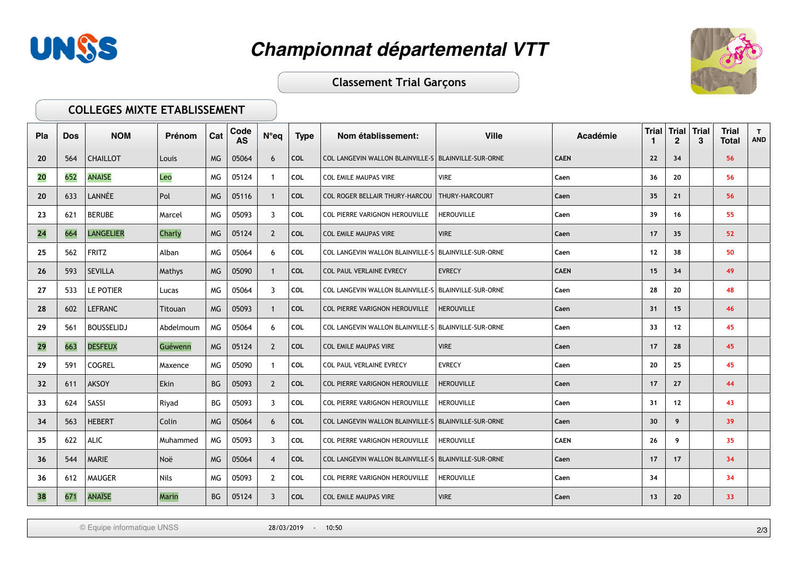



**Classement Trial Garçons** 

#### **COLLEGES MIXTE ETABLISSEMENT**

| Pla | <b>Dos</b> | <b>NOM</b>        | Prénom       | Cat       | Code<br><b>AS</b> | $N^{\circ}$ eq | <b>Type</b> | Nom établissement:                                     | <b>Ville</b>      | Académie    | <b>Trial</b> | <b>Trial</b><br>$\mathbf{2}$ | <b>Trial</b><br>3 | <b>Trial</b><br><b>Total</b> | $\mathbf{T}$<br><b>AND</b> |
|-----|------------|-------------------|--------------|-----------|-------------------|----------------|-------------|--------------------------------------------------------|-------------------|-------------|--------------|------------------------------|-------------------|------------------------------|----------------------------|
| 20  | 564        | <b>CHAILLOT</b>   | Louis        | <b>MG</b> | 05064             | 6              | COL         | COL LANGEVIN WALLON BLAINVILLE-S   BLAINVILLE-SUR-ORNE |                   | <b>CAEN</b> | 22           | 34                           |                   | 56                           |                            |
| 20  | 652        | <b>ANAISE</b>     | Leo          | MG.       | 05124             | - 1            | <b>COL</b>  | <b>COL EMILE MAUPAS VIRE</b>                           | <b>VIRE</b>       | Caen        | 36           | 20                           |                   | 56                           |                            |
| 20  | 633        | LANNÉE            | Pol          | <b>MG</b> | 05116             |                | <b>COL</b>  | <b>COL ROGER BELLAIR THURY-HARCOU</b>                  | THURY-HARCOURT    | Caen        | 35           | 21                           |                   | 56                           |                            |
| 23  | 621        | <b>BERUBE</b>     | Marcel       | MG        | 05093             | 3              | COL         | <b>COL PIERRE VARIGNON HEROUVILLE</b>                  | <b>HEROUVILLE</b> | Caen        | 39           | 16                           |                   | 55                           |                            |
| 24  | 664        | <b>LANGELIER</b>  | Charly       | <b>MG</b> | 05124             | 2              | <b>COL</b>  | <b>COL EMILE MAUPAS VIRE</b>                           | <b>VIRE</b>       | Caen        | 17           | 35                           |                   | 52                           |                            |
| 25  | 562        | <b>FRITZ</b>      | Alban        | МG        | 05064             | 6              | COL         | COL LANGEVIN WALLON BLAINVILLE-S   BLAINVILLE-SUR-ORNE |                   | Caen        | 12           | 38                           |                   | 50                           |                            |
| 26  | 593        | <b>SEVILLA</b>    | Mathys       | <b>MG</b> | 05090             |                | COL         | COL PAUL VERLAINE EVRECY                               | <b>EVRECY</b>     | <b>CAEN</b> | 15           | 34                           |                   | 49                           |                            |
| 27  | 533        | LE POTIER         | Lucas        | MG        | 05064             | 3              | COL         | COL LANGEVIN WALLON BLAINVILLE-S   BLAINVILLE-SUR-ORNE |                   | Caen        | 28           | 20                           |                   | 48                           |                            |
| 28  | 602        | <b>LEFRANC</b>    | Titouan      | <b>MG</b> | 05093             |                | COL         | COL PIERRE VARIGNON HEROUVILLE                         | <b>HEROUVILLE</b> | Caen        | 31           | 15                           |                   | 46                           |                            |
| 29  | 561        | <b>BOUSSELIDJ</b> | Abdelmoum    | МG        | 05064             | 6              | COL         | COL LANGEVIN WALLON BLAINVILLE-S   BLAINVILLE-SUR-ORNE |                   | Caen        | 33           | 12                           |                   | 45                           |                            |
| 29  | 663        | <b>DESFEUX</b>    | Guéwenn      | <b>MG</b> | 05124             | 2              | <b>COL</b>  | <b>COL EMILE MAUPAS VIRE</b>                           | <b>VIRE</b>       | Caen        | 17           | 28                           |                   | 45                           |                            |
| 29  | 591        | <b>COGREL</b>     | Maxence      | МG        | 05090             |                | COL         | COL PAUL VERLAINE EVRECY                               | <b>EVRECY</b>     | Caen        | 20           | 25                           |                   | 45                           |                            |
| 32  | 611        | <b>AKSOY</b>      | Ekin         | BG        | 05093             | $\overline{2}$ | COL         | COL PIERRE VARIGNON HEROUVILLE                         | <b>HEROUVILLE</b> | Caen        | 17           | 27                           |                   | 44                           |                            |
| 33  | 624        | SASSI             | Riyad        | BG        | 05093             | 3              | COL         | COL PIERRE VARIGNON HEROUVILLE                         | <b>HEROUVILLE</b> | Caen        | 31           | 12                           |                   | 43                           |                            |
| 34  | 563        | <b>HEBERT</b>     | Colin        | <b>MG</b> | 05064             | 6              | COL         | COL LANGEVIN WALLON BLAINVILLE-S   BLAINVILLE-SUR-ORNE |                   | Caen        | 30           | 9                            |                   | 39                           |                            |
| 35  | 622        | ALIC.             | Muhammed     | MG        | 05093             | 3              | <b>COL</b>  | COL PIERRE VARIGNON HEROUVILLE                         | <b>HEROUVILLE</b> | <b>CAEN</b> | 26           | 9                            |                   | 35                           |                            |
| 36  | 544        | <b>MARIE</b>      | Noë          | <b>MG</b> | 05064             | 4              | <b>COL</b>  | COL LANGEVIN WALLON BLAINVILLE-S   BLAINVILLE-SUR-ORNE |                   | Caen        | 17           | 17                           |                   | 34                           |                            |
| 36  | 612        | <b>MAUGER</b>     | Nils         | МG        | 05093             | $\overline{2}$ | COL         | COL PIERRE VARIGNON HEROUVILLE                         | <b>HEROUVILLE</b> | Caen        | 34           |                              |                   | 34                           |                            |
| 38  | 671        | <b>ANAÏSE</b>     | <b>Marin</b> | BG        | 05124             | 3              | COL         | <b>COL EMILE MAUPAS VIRE</b>                           | <b>VIRE</b>       | Caen        | 13           | 20                           |                   | 33                           |                            |

© Equipe informatique UNSS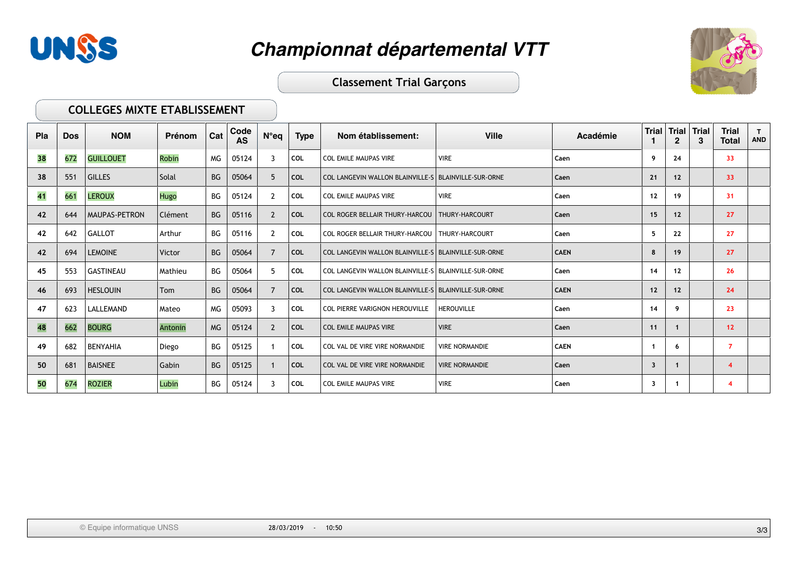



### **Classement Trial Garçons**

#### COLLEGES MIXTE ETABLISSEMENT

| Pla | <b>Dos</b> | <b>NOM</b>           | Prénom  | Cat       | Code<br><b>AS</b> | $N^{\circ}$ eq | <b>Type</b> | Nom établissement:                                     | <b>Ville</b>          | Académie    | Trial | $\mathbf{2}$ | Trial Trial | <b>Trial</b><br><b>Total</b> | T.<br><b>AND</b> |
|-----|------------|----------------------|---------|-----------|-------------------|----------------|-------------|--------------------------------------------------------|-----------------------|-------------|-------|--------------|-------------|------------------------------|------------------|
| 38  | 672        | <b>GUILLOUET</b>     | Robin   | MG        | 05124             | 3              | COL         | <b>COL EMILE MAUPAS VIRE</b>                           | <b>VIRE</b>           | Caen        | 9     | 24           |             | 33                           |                  |
| 38  | 551        | <b>GILLES</b>        | Solal   | <b>BG</b> | 05064             | -5             | <b>COL</b>  | COL LANGEVIN WALLON BLAINVILLE-S   BLAINVILLE-SUR-ORNE |                       | Caen        | 21    | 12           |             | 33                           |                  |
| 41  | 661        | <b>LEROUX</b>        | Hugo    | BG        | 05124             | 2              | COL         | <b>COL EMILE MAUPAS VIRE</b>                           | <b>VIRE</b>           | Caen        | 12    | 19           |             | 31                           |                  |
| 42  | 644        | <b>MAUPAS-PETRON</b> | Clément | <b>BG</b> | 05116             | $\overline{2}$ | <b>COL</b>  | <b>COL ROGER BELLAIR THURY-HARCOU   THURY-HARCOURT</b> |                       | Caen        | 15    | 12           |             | 27                           |                  |
| 42  | 642        | <b>GALLOT</b>        | Arthur  | ВG        | 05116             | $\overline{2}$ | COL         | COL ROGER BELLAIR THURY-HARCOU   THURY-HARCOURT        |                       | Caen        | 5     | 22           |             | 27                           |                  |
| 42  | 694        | <b>LEMOINE</b>       | Victor  | <b>BG</b> | 05064             | $\overline{7}$ | <b>COL</b>  | COL LANGEVIN WALLON BLAINVILLE-S BLAINVILLE-SUR-ORNE   |                       | <b>CAEN</b> | 8     | 19           |             | 27                           |                  |
| 45  | 553        | <b>GASTINEAU</b>     | Mathieu | ВG        | 05064             | 5.             | COL         | COL LANGEVIN WALLON BLAINVILLE-S   BLAINVILLE-SUR-ORNE |                       | Caen        | 14    | 12           |             | 26                           |                  |
| 46  | 693        | <b>HESLOUIN</b>      | Tom     | BG        | 05064             | 7              | <b>COL</b>  | COL LANGEVIN WALLON BLAINVILLE-S   BLAINVILLE-SUR-ORNE |                       | <b>CAEN</b> | 12    | 12           |             | 24                           |                  |
| 47  | 623        | LALLEMAND            | Mateo   | МG        | 05093             | 3              | COL         | COL PIERRE VARIGNON HEROUVILLE                         | <b>HEROUVILLE</b>     | Caen        | 14    | 9            |             | 23                           |                  |
| 48  | 662        | <b>BOURG</b>         | Antonin | <b>MG</b> | 05124             | 2              | <b>COL</b>  | COL EMILE MAUPAS VIRE                                  | <b>VIRE</b>           | Caen        | 11    | 1            |             | 12                           |                  |
| 49  | 682        | BENYAHIA             | Diego   | BG        | 05125             |                | COL         | COL VAL DE VIRE VIRE NORMANDIE                         | <b>VIRE NORMANDIE</b> | <b>CAEN</b> |       | 6            |             | $\overline{7}$               |                  |
| 50  | 681        | BAISNEE              | Gabin   | BG        | 05125             |                | <b>COL</b>  | COL VAL DE VIRE VIRE NORMANDIE                         | <b>VIRE NORMANDIE</b> | Caen        | 3     | $\mathbf{1}$ |             | $\overline{\bf{4}}$          |                  |
| 50  | 674        | <b>ROZIER</b>        | Lubin   | ВG        | 05124             | 3              | COL         | <b>COL EMILE MAUPAS VIRE</b>                           | <b>VIRE</b>           | Caen        | 3     | $\mathbf{1}$ |             | 4                            |                  |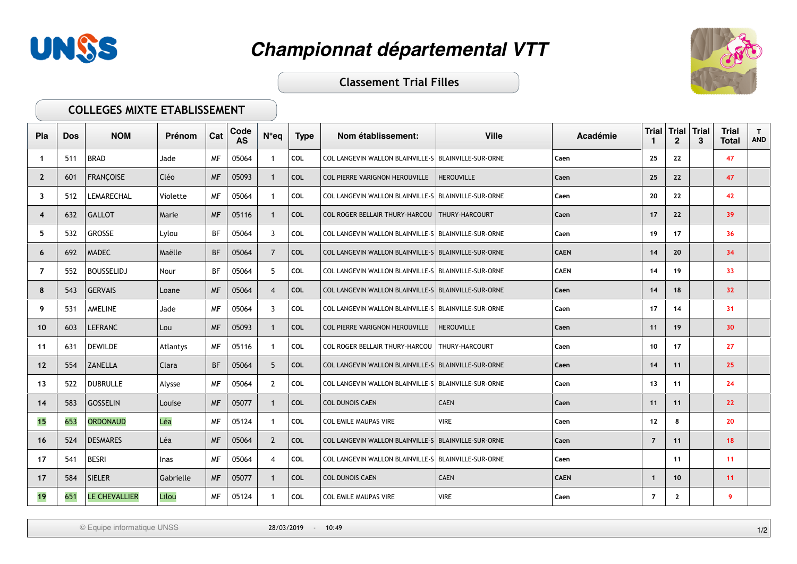



**Classement Trial Filles** 

### **COLLEGES MIXTE ETABLISSEMENT**

| Pla            | <b>Dos</b> | <b>NOM</b>           | Prénom    | Cat       | Code<br><b>AS</b> | N°eq           | <b>Type</b> | Nom établissement:                                     | <b>Ville</b>      | Académie    | <b>Trial</b><br>-1 | <b>Trial Trial</b><br>$\mathbf{2}$ | 3 | <b>Trial</b><br><b>Total</b> | $\mathbf{T}$<br><b>AND</b> |
|----------------|------------|----------------------|-----------|-----------|-------------------|----------------|-------------|--------------------------------------------------------|-------------------|-------------|--------------------|------------------------------------|---|------------------------------|----------------------------|
| -1             | 511        | <b>BRAD</b>          | Jade      | <b>MF</b> | 05064             |                | COL         | COL LANGEVIN WALLON BLAINVILLE-S BLAINVILLE-SUR-ORNE   |                   | Caen        | 25                 | 22                                 |   | 47                           |                            |
| $\mathbf{2}$   | 601        | <b>FRANCOISE</b>     | Cléo      | <b>MF</b> | 05093             | $\overline{1}$ | <b>COL</b>  | COL PIERRE VARIGNON HEROUVILLE                         | <b>HEROUVILLE</b> | Caen        | 25                 | 22                                 |   | 47                           |                            |
| 3              | 512        | LEMARECHAL           | Violette  | <b>MF</b> | 05064             |                | COL         | COL LANGEVIN WALLON BLAINVILLE-S   BLAINVILLE-SUR-ORNE |                   | Caen        | 20                 | 22                                 |   | 42                           |                            |
| $\overline{4}$ | 632        | GALLOT               | Marie     | <b>MF</b> | 05116             |                | COL         | COL ROGER BELLAIR THURY-HARCOU   THURY-HARCOURT        |                   | Caen        | 17                 | 22                                 |   | 39                           |                            |
| 5              | 532        | GROSSE               | Lylou     | BF        | 05064             | 3              | <b>COL</b>  | COL LANGEVIN WALLON BLAINVILLE-S   BLAINVILLE-SUR-ORNE |                   | Caen        | 19                 | 17                                 |   | 36                           |                            |
| 6              | 692        | MADEC                | Maëlle    | <b>BF</b> | 05064             | 7              | <b>COL</b>  | COL LANGEVIN WALLON BLAINVILLE-S   BLAINVILLE-SUR-ORNE |                   | <b>CAEN</b> | 14                 | 20                                 |   | 34                           |                            |
| 7              | 552        | <b>BOUSSELIDJ</b>    | Nour      | BF        | 05064             | 5              | COL         | COL LANGEVIN WALLON BLAINVILLE-S   BLAINVILLE-SUR-ORNE |                   | <b>CAEN</b> | 14                 | 19                                 |   | 33                           |                            |
| 8              | 543        | GERVAIS              | Loane     | <b>MF</b> | 05064             | $\overline{4}$ | <b>COL</b>  | COL LANGEVIN WALLON BLAINVILLE-S   BLAINVILLE-SUR-ORNE |                   | Caen        | 14                 | 18                                 |   | 32                           |                            |
| 9              | 531        | <b>AMELINE</b>       | Jade      | <b>MF</b> | 05064             | 3              | <b>COL</b>  | COL LANGEVIN WALLON BLAINVILLE-S   BLAINVILLE-SUR-ORNE |                   | Caen        | 17                 | 14                                 |   | 31                           |                            |
| 10             | 603        | <b>LEFRANC</b>       | Lou       | <b>MF</b> | 05093             |                | COL         | COL PIERRE VARIGNON HEROUVILLE                         | <b>HEROUVILLE</b> | Caen        | 11                 | 19                                 |   | 30 <sup>°</sup>              |                            |
| 11             | 631        | DEWILDE              | Atlantys  | <b>MF</b> | 05116             | -1             | COL         | COL ROGER BELLAIR THURY-HARCOU   THURY-HARCOURT        |                   | Caen        | 10                 | 17                                 |   | 27                           |                            |
| $12 \,$        | 554        | <b>ZANELLA</b>       | Clara     | <b>BF</b> | 05064             | 5              | <b>COL</b>  | COL LANGEVIN WALLON BLAINVILLE-S   BLAINVILLE-SUR-ORNE |                   | Caen        | 14                 | 11                                 |   | 25                           |                            |
| 13             | 522        | <b>DUBRULLE</b>      | Alysse    | <b>MF</b> | 05064             | 2              | <b>COL</b>  | COL LANGEVIN WALLON BLAINVILLE-S   BLAINVILLE-SUR-ORNE |                   | Caen        | 13                 | 11                                 |   | 24                           |                            |
| 14             | 583        | GOSSELIN             | Louise    | <b>MF</b> | 05077             | -1             | <b>COL</b>  | <b>COL DUNOIS CAEN</b>                                 | <b>CAEN</b>       | Caen        | 11                 | 11                                 |   | 22                           |                            |
| 15             | 653        | <b>ORDONAUD</b>      | Léa       | <b>MF</b> | 05124             |                | <b>COL</b>  | COL EMILE MAUPAS VIRE                                  | <b>VIRE</b>       | Caen        | 12                 | 8                                  |   | 20                           |                            |
| 16             | 524        | DESMARES             | Léa       | <b>MF</b> | 05064             | 2              | <b>COL</b>  | COL LANGEVIN WALLON BLAINVILLE-S   BLAINVILLE-SUR-ORNE |                   | Caen        | $\overline{7}$     | 11                                 |   | 18                           |                            |
| 17             | 541        | <b>BESRI</b>         | Inas      | <b>MF</b> | 05064             | 4              | <b>COL</b>  | COL LANGEVIN WALLON BLAINVILLE-S BLAINVILLE-SUR-ORNE   |                   | Caen        |                    | 11                                 |   | 11                           |                            |
| 17             | 584        | SIELER               | Gabrielle | <b>MF</b> | 05077             |                | <b>COL</b>  | <b>COL DUNOIS CAEN</b>                                 | <b>CAEN</b>       | <b>CAEN</b> | $\mathbf 1$        | 10                                 |   | 11                           |                            |
| 19             | 651        | <b>LE CHEVALLIER</b> | Lilou     | <b>MF</b> | 05124             | $\mathbf{1}$   | <b>COL</b>  | COL EMILE MAUPAS VIRE                                  | <b>VIRE</b>       | Caen        | $\overline{7}$     | $\mathbf{2}$                       |   | 9                            |                            |

© Equipe informatique UNSS